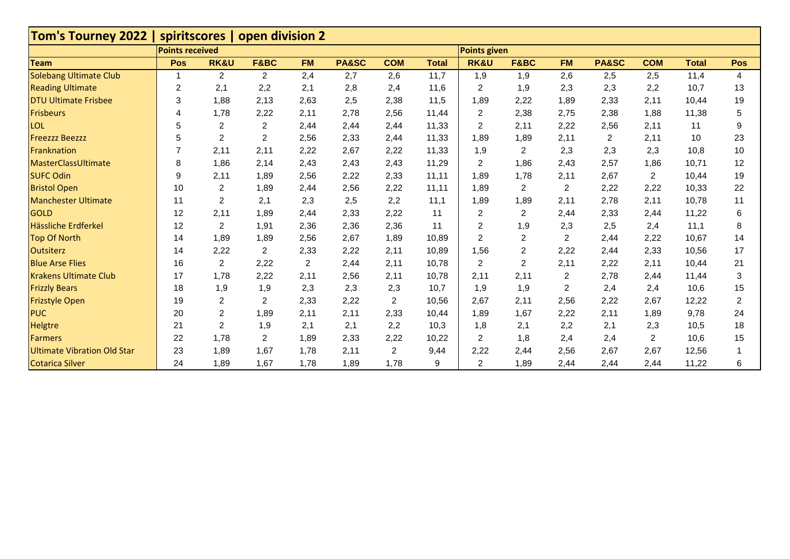| Tom's Tourney 2022   spiritscores   open division 2 |                        |                  |                  |                |                  |                |              |                         |                 |                |       |                |              |                |
|-----------------------------------------------------|------------------------|------------------|------------------|----------------|------------------|----------------|--------------|-------------------------|-----------------|----------------|-------|----------------|--------------|----------------|
|                                                     | <b>Points received</b> |                  |                  |                |                  |                |              | <b>Points given</b>     |                 |                |       |                |              |                |
| <b>Team</b>                                         | Pos                    | <b>RK&amp;U</b>  | F&BC             | <b>FM</b>      | <b>PA&amp;SC</b> | <b>COM</b>     | <b>Total</b> | <b>RK&amp;U</b>         | <b>F&amp;BC</b> | <b>FM</b>      | PA&SC | <b>COM</b>     | <b>Total</b> | Pos            |
| <b>Solebang Ultimate Club</b>                       |                        | $\overline{2}$   | $\overline{2}$   | 2,4            | 2,7              | 2,6            | 11,7         | 1,9                     | 1,9             | 2,6            | 2,5   | 2,5            | 11,4         | 4              |
| <b>Reading Ultimate</b>                             | 2                      | 2,1              | 2,2              | 2,1            | 2,8              | 2,4            | 11,6         | 2                       | 1,9             | 2,3            | 2,3   | 2,2            | 10,7         | 13             |
| <b>DTU Ultimate Frisbee</b>                         | 3                      | 1.88             | 2,13             | 2,63           | 2,5              | 2,38           | 11,5         | 1,89                    | 2,22            | 1,89           | 2,33  | 2,11           | 10,44        | 19             |
| <b>Frisbeurs</b>                                    | 4                      | 1,78             | 2,22             | 2,11           | 2,78             | 2,56           | 11,44        | $\overline{2}$          | 2,38            | 2,75           | 2,38  | 1,88           | 11,38        | 5              |
| <b>LOL</b>                                          | 5                      | $\overline{2}$   | $\overline{2}$   | 2,44           | 2,44             | 2,44           | 11,33        | $\overline{2}$          | 2,11            | 2,22           | 2,56  | 2,11           | 11           | 9              |
| <b>Freezzz Beezzz</b>                               | 5                      | $\overline{2}$   | $\overline{2}$   | 2,56           | 2,33             | 2,44           | 11,33        | 1,89                    | 1,89            | 2,11           | 2     | 2,11           | 10           | 23             |
| Franknation                                         |                        | 2,11             | 2,11             | 2,22           | 2,67             | 2,22           | 11,33        | 1,9                     | 2               | 2,3            | 2,3   | 2,3            | 10,8         | 10             |
| MasterClassUltimate                                 | 8                      | 1,86             | 2,14             | 2,43           | 2,43             | 2,43           | 11,29        | $\overline{\mathbf{c}}$ | 1,86            | 2,43           | 2,57  | 1,86           | 10,71        | 12             |
| <b>SUFC Odin</b>                                    | 9                      | 2,11             | 1,89             | 2,56           | 2,22             | 2,33           | 11,11        | 1,89                    | 1,78            | 2,11           | 2,67  | $\overline{c}$ | 10,44        | 19             |
| <b>Bristol Open</b>                                 | 10                     | $\overline{2}$   | 1,89             | 2,44           | 2,56             | 2,22           | 11,11        | 1,89                    | 2               | 2              | 2,22  | 2,22           | 10,33        | 22             |
| <b>Manchester Ultimate</b>                          | 11                     | $\overline{2}$   | 2,1              | 2,3            | 2,5              | 2,2            | 11,1         | 1,89                    | 1,89            | 2,11           | 2,78  | 2,11           | 10,78        | 11             |
| <b>GOLD</b>                                         | 12                     | 2,11             | 1,89             | 2,44           | 2,33             | 2,22           | 11           | $\sqrt{2}$              | 2               | 2,44           | 2,33  | 2,44           | 11,22        | 6              |
| Hässliche Erdferkel                                 | 12                     | 2                | 1,91             | 2,36           | 2,36             | 2,36           | 11           | 2                       | 1,9             | 2,3            | 2,5   | 2,4            | 11,1         | 8              |
| <b>Top Of North</b>                                 | 14                     | 1,89             | 1,89             | 2,56           | 2,67             | 1,89           | 10,89        | $\overline{2}$          | 2               | $\overline{2}$ | 2,44  | 2,22           | 10,67        | 14             |
| <b>Outsiterz</b>                                    | 14                     | 2,22             | $\overline{2}$   | 2,33           | 2,22             | 2,11           | 10,89        | 1,56                    | 2               | 2,22           | 2,44  | 2,33           | 10,56        | 17             |
| <b>Blue Arse Flies</b>                              | 16                     | $\overline{2}$   | 2,22             | $\overline{c}$ | 2,44             | 2,11           | 10,78        | $\overline{2}$          | 2               | 2,11           | 2,22  | 2,11           | 10,44        | 21             |
| <b>Krakens Ultimate Club</b>                        | 17                     | 1,78             | 2,22             | 2,11           | 2,56             | 2,11           | 10,78        | 2,11                    | 2,11            | 2              | 2,78  | 2,44           | 11,44        | 3              |
| <b>Frizzly Bears</b>                                | 18                     | 1,9              | 1,9              | 2,3            | 2,3              | 2,3            | 10,7         | 1,9                     | 1,9             | $\overline{c}$ | 2,4   | 2,4            | 10,6         | 15             |
| <b>Frizstyle Open</b>                               | 19                     | $\boldsymbol{2}$ | $\boldsymbol{2}$ | 2,33           | 2,22             | $\overline{2}$ | 10,56        | 2,67                    | 2,11            | 2,56           | 2,22  | 2,67           | 12,22        | $\overline{2}$ |
| <b>PUC</b>                                          | 20                     | $\overline{c}$   | 1,89             | 2,11           | 2,11             | 2,33           | 10,44        | 1,89                    | 1,67            | 2,22           | 2,11  | 1,89           | 9,78         | 24             |
| <b>Helgtre</b>                                      | 21                     | $\overline{2}$   | 1,9              | 2,1            | 2,1              | 2,2            | 10,3         | 1,8                     | 2,1             | 2,2            | 2,1   | 2,3            | 10,5         | 18             |
| <b>Farmers</b>                                      | 22                     | 1,78             | $\overline{2}$   | 1,89           | 2,33             | 2,22           | 10,22        | $\overline{c}$          | 1,8             | 2,4            | 2,4   | $\overline{2}$ | 10,6         | 15             |
| <b>Ultimate Vibration Old Star</b>                  | 23                     | 1,89             | 1,67             | 1,78           | 2,11             | $\overline{2}$ | 9,44         | 2,22                    | 2,44            | 2,56           | 2,67  | 2,67           | 12,56        |                |
| <b>Cotarica Silver</b>                              | 24                     | 1,89             | 1,67             | 1,78           | 1,89             | 1,78           | 9            | $\overline{c}$          | 1,89            | 2,44           | 2,44  | 2,44           | 11,22        | 6              |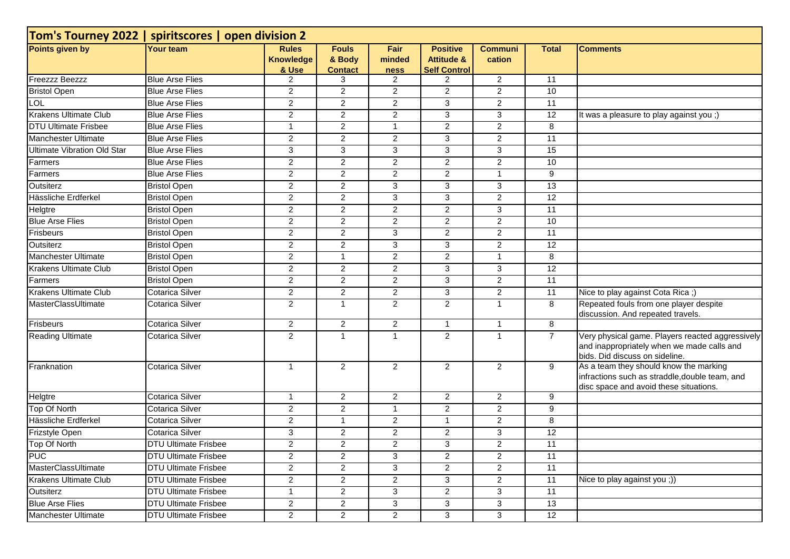| Tom's Tourney 2022   spiritscores   open division 2 |                             |                                           |                                          |                        |                                                                 |                          |                 |                                                                                                                                    |  |  |  |
|-----------------------------------------------------|-----------------------------|-------------------------------------------|------------------------------------------|------------------------|-----------------------------------------------------------------|--------------------------|-----------------|------------------------------------------------------------------------------------------------------------------------------------|--|--|--|
| Points given by                                     | <b>Your team</b>            | <b>Rules</b><br><b>Knowledge</b><br>& Use | <b>Fouls</b><br>& Body<br><b>Contact</b> | Fair<br>minded<br>ness | <b>Positive</b><br><b>Attitude &amp;</b><br><b>Self Control</b> | <b>Communi</b><br>cation | <b>Total</b>    | <b>Comments</b>                                                                                                                    |  |  |  |
| Freezzz Beezzz                                      | <b>Blue Arse Flies</b>      | $\overline{c}$                            | 3                                        | $\overline{2}$         | $\overline{2}$                                                  | $\overline{2}$           | 11              |                                                                                                                                    |  |  |  |
| <b>Bristol Open</b>                                 | <b>Blue Arse Flies</b>      | $\overline{a}$                            | $\overline{2}$                           | $\overline{2}$         | $\overline{2}$                                                  | $\overline{2}$           | 10              |                                                                                                                                    |  |  |  |
| <b>LOL</b>                                          | <b>Blue Arse Flies</b>      | $\overline{c}$                            | $\overline{2}$                           | $\overline{2}$         | 3                                                               | $\overline{2}$           | 11              |                                                                                                                                    |  |  |  |
| <b>Krakens Ultimate Club</b>                        | <b>Blue Arse Flies</b>      | $\overline{c}$                            | $\overline{2}$                           | $\overline{2}$         | 3                                                               | 3                        | 12              | It was a pleasure to play against you ;)                                                                                           |  |  |  |
| <b>DTU Ultimate Frisbee</b>                         | <b>Blue Arse Flies</b>      | 1                                         | $\overline{2}$                           | $\overline{1}$         | 2                                                               | $\overline{2}$           | 8               |                                                                                                                                    |  |  |  |
| Manchester Ultimate                                 | <b>Blue Arse Flies</b>      | $\overline{c}$                            | $\overline{2}$                           | $\overline{2}$         | 3                                                               | $\overline{2}$           | 11              |                                                                                                                                    |  |  |  |
| Ultimate Vibration Old Star                         | <b>Blue Arse Flies</b>      | $\mathbf{3}$                              | 3                                        | 3                      | $\mathbf{3}$                                                    | 3                        | 15              |                                                                                                                                    |  |  |  |
| Farmers                                             | <b>Blue Arse Flies</b>      | $\overline{c}$                            | $\overline{2}$                           | $\overline{2}$         | 2                                                               | $\overline{2}$           | 10              |                                                                                                                                    |  |  |  |
| Farmers                                             | <b>Blue Arse Flies</b>      | $\overline{c}$                            | $\overline{a}$                           | $\overline{2}$         | 2                                                               | $\mathbf{1}$             | 9               |                                                                                                                                    |  |  |  |
| Outsiterz                                           | <b>Bristol Open</b>         | $\overline{2}$                            | $\overline{2}$                           | $\overline{\omega}$    | 3                                                               | $\overline{3}$           | $\overline{13}$ |                                                                                                                                    |  |  |  |
| Hässliche Erdferkel                                 | <b>Bristol Open</b>         | $\overline{c}$                            | $\overline{2}$                           | 3                      | 3                                                               | $\overline{2}$           | 12              |                                                                                                                                    |  |  |  |
| <b>Helgtre</b>                                      | <b>Bristol Open</b>         | $\overline{2}$                            | $\overline{2}$                           | $\overline{2}$         | $\overline{2}$                                                  | 3                        | 11              |                                                                                                                                    |  |  |  |
| <b>Blue Arse Flies</b>                              | <b>Bristol Open</b>         | $\overline{a}$                            | $\overline{2}$                           | $\overline{2}$         | $\overline{2}$                                                  | $\overline{2}$           | 10              |                                                                                                                                    |  |  |  |
| Frisbeurs                                           | <b>Bristol Open</b>         | $\overline{c}$                            | $\overline{2}$                           | 3                      | $\overline{2}$                                                  | $\overline{2}$           | 11              |                                                                                                                                    |  |  |  |
| Outsiterz                                           | <b>Bristol Open</b>         | $\overline{c}$                            | $\overline{2}$                           | $\overline{3}$         | 3                                                               | $\overline{2}$           | 12              |                                                                                                                                    |  |  |  |
| Manchester Ultimate                                 | <b>Bristol Open</b>         | $\overline{c}$                            | $\mathbf{1}$                             | $\overline{2}$         | $\overline{2}$                                                  | $\mathbf{1}$             | 8               |                                                                                                                                    |  |  |  |
| <b>Krakens Ultimate Club</b>                        | <b>Bristol Open</b>         | $\overline{2}$                            | $\overline{2}$                           | $\overline{2}$         | 3                                                               | 3                        | 12              |                                                                                                                                    |  |  |  |
| Farmers                                             | <b>Bristol Open</b>         | $\overline{c}$                            | $\overline{2}$                           | $\overline{2}$         | 3                                                               | $\overline{c}$           | 11              |                                                                                                                                    |  |  |  |
| <b>Krakens Ultimate Club</b>                        | <b>Cotarica Silver</b>      | $\overline{2}$                            | $\overline{2}$                           | $\overline{2}$         | 3                                                               | $\overline{a}$           | 11              | Nice to play against Cota Rica;)                                                                                                   |  |  |  |
| MasterClassUltimate                                 | <b>Cotarica Silver</b>      | $\overline{2}$                            | $\mathbf{1}$                             | $\overline{2}$         | $\overline{2}$                                                  | $\mathbf{1}$             | 8               | Repeated fouls from one player despite<br>discussion. And repeated travels.                                                        |  |  |  |
| Frisbeurs                                           | Cotarica Silver             | $\overline{c}$                            | $\overline{2}$                           | $\overline{2}$         | $\mathbf{1}$                                                    | $\mathbf{1}$             | 8               |                                                                                                                                    |  |  |  |
| <b>Reading Ultimate</b>                             | Cotarica Silver             | $\overline{2}$                            | $\mathbf{1}$                             | $\mathbf{1}$           | 2                                                               | $\mathbf{1}$             | $\overline{7}$  | Very physical game. Players reacted aggressively<br>and inappropriately when we made calls and<br>bids. Did discuss on sideline.   |  |  |  |
| Franknation                                         | <b>Cotarica Silver</b>      | $\mathbf 1$                               | 2                                        | 2                      | 2                                                               | $\overline{2}$           | 9               | As a team they should know the marking<br>infractions such as straddle, double team, and<br>disc space and avoid these situations. |  |  |  |
| Helgtre                                             | <b>Cotarica Silver</b>      | $\mathbf{1}$                              | $\overline{2}$                           | $\overline{2}$         | $\overline{2}$                                                  | $\overline{2}$           | 9               |                                                                                                                                    |  |  |  |
| <b>Top Of North</b>                                 | <b>Cotarica Silver</b>      | $\overline{c}$                            | $\overline{2}$                           | $\overline{1}$         | $\boldsymbol{2}$                                                | $\overline{2}$           | 9               |                                                                                                                                    |  |  |  |
| Hässliche Erdferkel                                 | Cotarica Silver             | $\overline{2}$                            | $\mathbf{1}$                             | $\overline{2}$         | $\overline{1}$                                                  | $\overline{c}$           | 8               |                                                                                                                                    |  |  |  |
| Frizstyle Open                                      | <b>Cotarica Silver</b>      | 3                                         | $\overline{2}$                           | $\overline{2}$         | $\overline{2}$                                                  | 3                        | 12              |                                                                                                                                    |  |  |  |
| Top Of North                                        | <b>DTU Ultimate Frisbee</b> | $\overline{c}$                            | 2                                        | $\overline{c}$         | 3                                                               | $\overline{c}$           | 11              |                                                                                                                                    |  |  |  |
| <b>PUC</b>                                          | <b>DTU Ultimate Frisbee</b> | $\overline{2}$                            | $\overline{2}$                           | 3                      | $\overline{2}$                                                  | $\overline{2}$           | 11              |                                                                                                                                    |  |  |  |
| MasterClassUltimate                                 | <b>DTU Ultimate Frisbee</b> | $\overline{a}$                            | $\overline{2}$                           | 3                      | 2                                                               | $\overline{2}$           | $\overline{11}$ |                                                                                                                                    |  |  |  |
| Krakens Ultimate Club                               | <b>DTU Ultimate Frisbee</b> | $\overline{2}$                            | $\overline{2}$                           | 2                      | 3                                                               | $\overline{2}$           | 11              | Nice to play against you ;))                                                                                                       |  |  |  |
| Outsiterz                                           | <b>DTU Ultimate Frisbee</b> | $\mathbf 1$                               | $\overline{2}$                           | 3                      | $\overline{2}$                                                  | 3                        | 11              |                                                                                                                                    |  |  |  |
| <b>Blue Arse Flies</b>                              | <b>DTU Ultimate Frisbee</b> | $\overline{a}$                            | $\overline{2}$                           | 3                      | 3                                                               | 3                        | 13              |                                                                                                                                    |  |  |  |
| Manchester Ultimate                                 | <b>DTU Ultimate Frisbee</b> | $\overline{2}$                            | $\overline{2}$                           | $\overline{2}$         | 3                                                               | 3                        | 12              |                                                                                                                                    |  |  |  |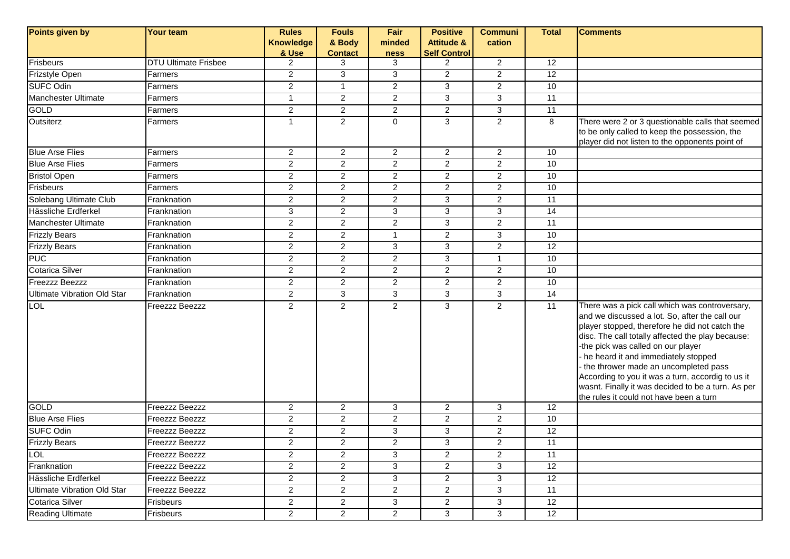| Points given by                    | <b>Your team</b>            | <b>Rules</b>     | <b>Fouls</b>   | Fair           | <b>Positive</b>       | <b>Communi</b> | <b>Total</b>    | <b>Comments</b>                                                                                                                                                                                                                                                                                                                                                                                                                                                                    |
|------------------------------------|-----------------------------|------------------|----------------|----------------|-----------------------|----------------|-----------------|------------------------------------------------------------------------------------------------------------------------------------------------------------------------------------------------------------------------------------------------------------------------------------------------------------------------------------------------------------------------------------------------------------------------------------------------------------------------------------|
|                                    |                             | <b>Knowledge</b> | & Body         | minded         | <b>Attitude &amp;</b> | cation         |                 |                                                                                                                                                                                                                                                                                                                                                                                                                                                                                    |
|                                    |                             | & Use            | <b>Contact</b> | <b>ness</b>    | <b>Self Control</b>   |                |                 |                                                                                                                                                                                                                                                                                                                                                                                                                                                                                    |
| Frisbeurs                          | <b>DTU Ultimate Frisbee</b> | $\overline{2}$   | 3              | 3              | $\overline{2}$        | $\overline{2}$ | 12              |                                                                                                                                                                                                                                                                                                                                                                                                                                                                                    |
| Frizstyle Open                     | Farmers                     | $\overline{2}$   | 3              | 3              | $\overline{2}$        | $\overline{a}$ | 12              |                                                                                                                                                                                                                                                                                                                                                                                                                                                                                    |
| <b>SUFC Odin</b>                   | Farmers                     | $\overline{2}$   | $\mathbf{1}$   | $\overline{c}$ | 3                     | $\overline{a}$ | 10              |                                                                                                                                                                                                                                                                                                                                                                                                                                                                                    |
| Manchester Ultimate                | Farmers                     | $\mathbf{1}$     | $\overline{2}$ | $\overline{2}$ | 3                     | 3              | 11              |                                                                                                                                                                                                                                                                                                                                                                                                                                                                                    |
| GOLD                               | Farmers                     | $\overline{2}$   | $\overline{2}$ | $\overline{2}$ | $\overline{2}$        | 3              | 11              |                                                                                                                                                                                                                                                                                                                                                                                                                                                                                    |
| Outsiterz                          | Farmers                     | 1                | $\overline{2}$ | $\mathbf 0$    | 3                     | $\overline{2}$ | 8               | There were 2 or 3 questionable calls that seemed<br>to be only called to keep the possession, the<br>player did not listen to the opponents point of                                                                                                                                                                                                                                                                                                                               |
| <b>Blue Arse Flies</b>             | Farmers                     | $\overline{2}$   | $\overline{2}$ | $\overline{2}$ | $\overline{2}$        | $\mathbf{2}$   | 10              |                                                                                                                                                                                                                                                                                                                                                                                                                                                                                    |
| <b>Blue Arse Flies</b>             | Farmers                     | $\overline{2}$   | $\overline{2}$ | $\overline{2}$ | $\overline{2}$        | $\overline{2}$ | 10              |                                                                                                                                                                                                                                                                                                                                                                                                                                                                                    |
| <b>Bristol Open</b>                | Farmers                     | $\overline{a}$   | $\overline{2}$ | $\overline{c}$ | $\overline{a}$        | $\overline{a}$ | 10              |                                                                                                                                                                                                                                                                                                                                                                                                                                                                                    |
| Frisbeurs                          | Farmers                     | $\overline{2}$   | $\overline{2}$ | $\overline{c}$ | $\overline{2}$        | $\overline{a}$ | 10              |                                                                                                                                                                                                                                                                                                                                                                                                                                                                                    |
| <b>Solebang Ultimate Club</b>      | Franknation                 | $\overline{2}$   | $\overline{2}$ | $\overline{c}$ | 3                     | $\overline{a}$ | 11              |                                                                                                                                                                                                                                                                                                                                                                                                                                                                                    |
| Hässliche Erdferkel                | Franknation                 | 3                | $\mathbf{2}$   | 3              | 3                     | 3              | 14              |                                                                                                                                                                                                                                                                                                                                                                                                                                                                                    |
| Manchester Ultimate                | Franknation                 | $\overline{2}$   | $\overline{2}$ | $\overline{2}$ | 3                     | $\overline{2}$ | 11              |                                                                                                                                                                                                                                                                                                                                                                                                                                                                                    |
| <b>Frizzly Bears</b>               | Franknation                 | $\overline{2}$   | $\overline{2}$ | $\mathbf{1}$   | $\overline{2}$        | 3              | 10              |                                                                                                                                                                                                                                                                                                                                                                                                                                                                                    |
| <b>Frizzly Bears</b>               | Franknation                 | $\overline{2}$   | $\overline{2}$ | 3              | 3                     | $\overline{c}$ | 12              |                                                                                                                                                                                                                                                                                                                                                                                                                                                                                    |
| <b>PUC</b>                         | Franknation                 | $\overline{a}$   | $\overline{2}$ | $\mathbf{2}$   | 3                     | $\mathbf{1}$   | 10              |                                                                                                                                                                                                                                                                                                                                                                                                                                                                                    |
| Cotarica Silver                    | Franknation                 | $\overline{2}$   | $\overline{2}$ | $\overline{2}$ | $\overline{2}$        | $\overline{2}$ | 10              |                                                                                                                                                                                                                                                                                                                                                                                                                                                                                    |
| <b>Freezzz Beezzz</b>              | Franknation                 | $\overline{2}$   | $\overline{2}$ | $\overline{2}$ | $\overline{2}$        | $\overline{2}$ | 10              |                                                                                                                                                                                                                                                                                                                                                                                                                                                                                    |
| <b>Ultimate Vibration Old Star</b> | Franknation                 | $\overline{a}$   | 3              | $\mathbf{3}$   | 3                     | 3              | $\overline{14}$ |                                                                                                                                                                                                                                                                                                                                                                                                                                                                                    |
| <b>LOL</b>                         | Freezzz Beezzz              | $\overline{2}$   | $\overline{2}$ | $\overline{2}$ | 3                     | $\overline{2}$ | 11              | There was a pick call which was controversary,<br>and we discussed a lot. So, after the call our<br>player stopped, therefore he did not catch the<br>disc. The call totally affected the play because:<br>-the pick was called on our player<br>he heard it and immediately stopped<br>the thrower made an uncompleted pass<br>According to you it was a turn, accordig to us it<br>wasnt. Finally it was decided to be a turn. As per<br>the rules it could not have been a turn |
| GOLD                               | <b>Freezzz Beezzz</b>       | $\overline{2}$   | $\overline{2}$ | 3              | $\overline{a}$        | 3              | $\overline{12}$ |                                                                                                                                                                                                                                                                                                                                                                                                                                                                                    |
| <b>Blue Arse Flies</b>             | Freezzz Beezzz              | $\overline{2}$   | $\overline{2}$ | $\overline{c}$ | $\overline{2}$        | $\overline{a}$ | 10              |                                                                                                                                                                                                                                                                                                                                                                                                                                                                                    |
| <b>SUFC Odin</b>                   | Freezzz Beezzz              | $\overline{a}$   | $\overline{2}$ | $\mathbf{3}$   | 3                     | $\overline{a}$ | 12              |                                                                                                                                                                                                                                                                                                                                                                                                                                                                                    |
| <b>Frizzly Bears</b>               | <b>Freezzz Beezzz</b>       | $\overline{2}$   | $\overline{2}$ | $\overline{2}$ | 3                     | $\overline{2}$ | 11              |                                                                                                                                                                                                                                                                                                                                                                                                                                                                                    |
| <b>LOL</b>                         | Freezzz Beezzz              | $\overline{2}$   | $\overline{2}$ | 3              | $\overline{c}$        | $\overline{a}$ | 11              |                                                                                                                                                                                                                                                                                                                                                                                                                                                                                    |
| Franknation                        | Freezzz Beezzz              | $\overline{2}$   | $\overline{2}$ | 3              | $\overline{2}$        | 3              | 12              |                                                                                                                                                                                                                                                                                                                                                                                                                                                                                    |
| Hässliche Erdferkel                | Freezzz Beezzz              | $\overline{a}$   | $\overline{2}$ | 3              | $\overline{a}$        | 3              | 12              |                                                                                                                                                                                                                                                                                                                                                                                                                                                                                    |
| <b>Ultimate Vibration Old Star</b> | Freezzz Beezzz              | $\overline{a}$   | $\overline{2}$ | $\mathbf{2}$   | $\overline{a}$        | 3              | 11              |                                                                                                                                                                                                                                                                                                                                                                                                                                                                                    |
| Cotarica Silver                    | Frisbeurs                   | $\overline{a}$   | $\overline{2}$ | 3              | $\overline{2}$        | $\overline{3}$ | 12              |                                                                                                                                                                                                                                                                                                                                                                                                                                                                                    |
| <b>Reading Ultimate</b>            | Frisbeurs                   | $\overline{a}$   | $\overline{2}$ | $\overline{2}$ | $\mathbf{3}$          | 3              | 12              |                                                                                                                                                                                                                                                                                                                                                                                                                                                                                    |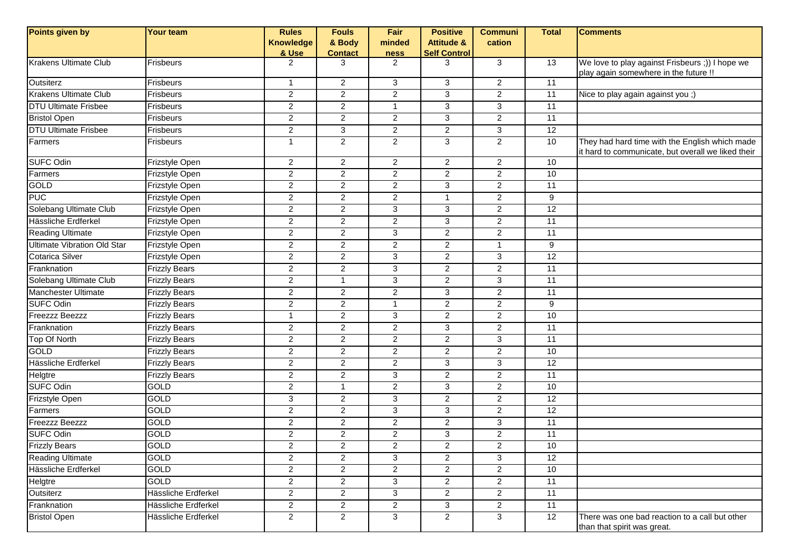| Points given by                    | <b>Your team</b>      | <b>Rules</b>     | <b>Fouls</b>   | Fair                | <b>Positive</b>       | <b>Communi</b> | <b>Total</b>    | <b>Comments</b>                                                                                      |
|------------------------------------|-----------------------|------------------|----------------|---------------------|-----------------------|----------------|-----------------|------------------------------------------------------------------------------------------------------|
|                                    |                       | <b>Knowledge</b> | & Body         | minded              | <b>Attitude &amp;</b> | cation         |                 |                                                                                                      |
|                                    |                       | & Use            | <b>Contact</b> | <b>ness</b>         | <b>Self Control</b>   |                |                 |                                                                                                      |
| <b>Krakens Ultimate Club</b>       | <b>Frisbeurs</b>      | $\overline{2}$   | 3              | 2                   | 3                     | 3              | 13              | We love to play against Frisbeurs ;)) I hope we<br>play again somewhere in the future !!             |
| Outsiterz                          | <b>Frisbeurs</b>      | $\overline{1}$   | $\overline{2}$ | 3                   | 3                     | $\overline{2}$ | $\overline{11}$ |                                                                                                      |
| <b>Krakens Ultimate Club</b>       | Frisbeurs             | $\overline{2}$   | $\overline{2}$ | $\overline{2}$      | $\mathbf{3}$          | $\overline{c}$ | 11              | Nice to play again against you ;)                                                                    |
| <b>DTU Ultimate Frisbee</b>        | Frisbeurs             | $\overline{c}$   | $\overline{a}$ | $\mathbf{1}$        | 3                     | $\mathbf{3}$   | 11              |                                                                                                      |
| <b>Bristol Open</b>                | Frisbeurs             | $\overline{c}$   | $\overline{2}$ | $\overline{2}$      | 3                     | $\overline{2}$ | 11              |                                                                                                      |
| <b>DTU Ultimate Frisbee</b>        | Frisbeurs             | $\overline{2}$   | 3              | $\overline{2}$      | $\overline{2}$        | 3              | 12              |                                                                                                      |
| Farmers                            | <b>Frisbeurs</b>      | $\overline{1}$   | $\overline{2}$ | $\overline{2}$      | 3                     | $\overline{2}$ | 10              | They had hard time with the English which made<br>it hard to communicate, but overall we liked their |
| <b>SUFC Odin</b>                   | Frizstyle Open        | $\overline{c}$   | $\overline{2}$ | $\overline{2}$      | $\mathbf{2}$          | $\overline{2}$ | 10              |                                                                                                      |
| Farmers                            | Frizstyle Open        | $\overline{2}$   | $\overline{2}$ | $\overline{2}$      | $\overline{2}$        | $\overline{2}$ | 10              |                                                                                                      |
| <b>GOLD</b>                        | Frizstyle Open        | $\overline{c}$   | $\overline{2}$ | $\overline{2}$      | 3                     | $\overline{2}$ | 11              |                                                                                                      |
| <b>PUC</b>                         | Frizstyle Open        | $\overline{2}$   | $\overline{2}$ | $\overline{2}$      | $\overline{1}$        | $\overline{2}$ | 9               |                                                                                                      |
| Solebang Ultimate Club             | <b>Frizstyle Open</b> | $\overline{2}$   | $\overline{2}$ | 3                   | 3                     | $\overline{2}$ | $\overline{12}$ |                                                                                                      |
| Hässliche Erdferkel                | Frizstyle Open        | $\overline{a}$   | $\overline{a}$ | $\overline{2}$      | 3                     | $\overline{2}$ | 11              |                                                                                                      |
| <b>Reading Ultimate</b>            | Frizstyle Open        | $\overline{2}$   | $\overline{2}$ | $\overline{\omega}$ | $\overline{2}$        | $\overline{2}$ | $\overline{11}$ |                                                                                                      |
| <b>Ultimate Vibration Old Star</b> | Frizstyle Open        | $\overline{a}$   | $\overline{2}$ | $\overline{2}$      | $\overline{2}$        | $\mathbf{1}$   | 9               |                                                                                                      |
| Cotarica Silver                    | Frizstyle Open        | $\overline{2}$   | $\overline{2}$ | 3                   | 2                     | 3              | 12              |                                                                                                      |
| Franknation                        | <b>Frizzly Bears</b>  | $\overline{2}$   | $\overline{2}$ | $\overline{\omega}$ | 2                     | $\overline{2}$ | $\overline{11}$ |                                                                                                      |
| Solebang Ultimate Club             | <b>Frizzly Bears</b>  | $\overline{c}$   | $\mathbf{1}$   | $\mathbf{3}$        | $\boldsymbol{2}$      | 3              | 11              |                                                                                                      |
| Manchester Ultimate                | <b>Frizzly Bears</b>  | $\overline{c}$   | $\overline{a}$ | $\overline{2}$      | 3                     | $\mathbf{2}$   | 11              |                                                                                                      |
| <b>SUFC Odin</b>                   | <b>Frizzly Bears</b>  | $\overline{c}$   | $\overline{2}$ | $\mathbf{1}$        | $\overline{2}$        | $\overline{2}$ | 9               |                                                                                                      |
| <b>Freezzz Beezzz</b>              | <b>Frizzly Bears</b>  | $\mathbf 1$      | $\overline{2}$ | 3                   | $\overline{2}$        | $\overline{2}$ | 10              |                                                                                                      |
| Franknation                        | <b>Frizzly Bears</b>  | $\overline{2}$   | $\overline{2}$ | $\overline{2}$      | 3                     | $\overline{2}$ | 11              |                                                                                                      |
| Top Of North                       | <b>Frizzly Bears</b>  | $\overline{a}$   | $\overline{2}$ | $\overline{2}$      | $\overline{2}$        | 3              | 11              |                                                                                                      |
| <b>GOLD</b>                        | <b>Frizzly Bears</b>  | $\overline{2}$   | $\overline{a}$ | $\overline{2}$      | $\overline{2}$        | $\overline{2}$ | 10              |                                                                                                      |
| Hässliche Erdferkel                | <b>Frizzly Bears</b>  | $\overline{2}$   | $\overline{2}$ | $\overline{2}$      | 3                     | 3              | 12              |                                                                                                      |
| <b>Helgtre</b>                     | <b>Frizzly Bears</b>  | $\overline{2}$   | $\overline{2}$ | 3                   | 2                     | $\overline{c}$ | 11              |                                                                                                      |
| SUFC Odin                          | GOLD                  | 2                | $\mathbf{1}$   | $\overline{2}$      | 3                     | $\overline{a}$ | 10              |                                                                                                      |
| Frizstyle Open                     | GOLD                  | $\mathbf{3}$     | $\overline{2}$ | دی                  | $\boldsymbol{2}$      | $\overline{c}$ | 12              |                                                                                                      |
| Farmers                            | <b>GOLD</b>           | $\overline{c}$   | $\overline{a}$ | $\mathbf{3}$        | 3                     | $\mathbf{2}$   | 12              |                                                                                                      |
| <b>Freezzz Beezzz</b>              | <b>GOLD</b>           | $\overline{c}$   | $\overline{2}$ | $\overline{2}$      | $\overline{2}$        | 3              | $\overline{11}$ |                                                                                                      |
| <b>SUFC Odin</b>                   | <b>GOLD</b>           | $\overline{a}$   | $\overline{2}$ | $\overline{2}$      | 3                     | $\overline{2}$ | $\overline{11}$ |                                                                                                      |
| <b>Frizzly Bears</b>               | GOLD                  | $\overline{2}$   | 2              | 2                   | 2                     | 2              | $10$            |                                                                                                      |
| Reading Ultimate                   | GOLD                  | $\overline{2}$   | $\overline{2}$ | 3                   | $\overline{2}$        | 3              | 12              |                                                                                                      |
| Hässliche Erdferkel                | <b>GOLD</b>           | $\overline{a}$   | $\overline{2}$ | $\overline{2}$      | $\overline{2}$        | $\overline{2}$ | 10              |                                                                                                      |
| Helgtre                            | GOLD                  | $\overline{a}$   | $\overline{2}$ | 3                   | $\overline{2}$        | $\overline{2}$ | 11              |                                                                                                      |
| Outsiterz                          | Hässliche Erdferkel   | $\overline{a}$   | $\overline{2}$ | $\overline{3}$      | $\overline{2}$        | $\overline{2}$ | $\overline{11}$ |                                                                                                      |
| Franknation                        | Hässliche Erdferkel   | $\overline{c}$   | $\overline{2}$ | $\overline{c}$      | 3                     | $\overline{a}$ | 11              |                                                                                                      |
| <b>Bristol Open</b>                | Hässliche Erdferkel   | $\overline{2}$   | $\overline{2}$ | 3                   | $\overline{2}$        | 3              | 12              | There was one bad reaction to a call but other<br>than that spirit was great.                        |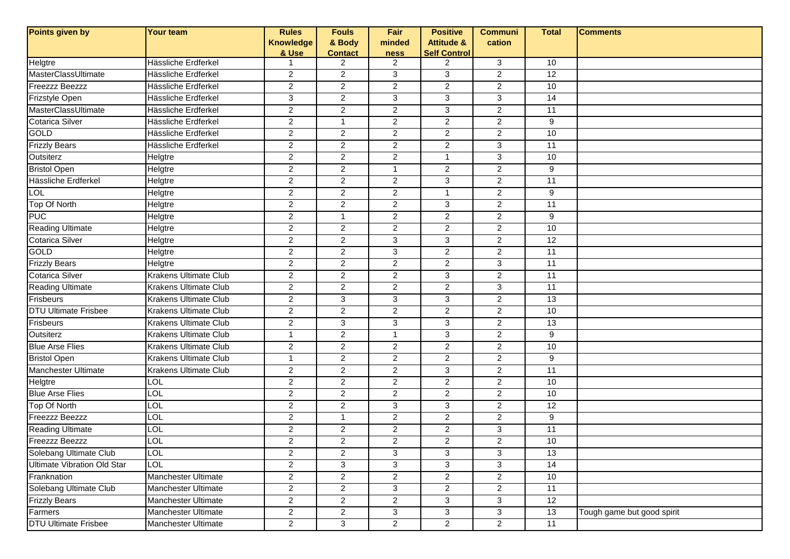| Points given by                    | <b>Your team</b>             | <b>Rules</b>     | <b>Fouls</b>   | Fair             | <b>Positive</b>       | <b>Communi</b> | <b>Total</b>    | <b>Comments</b>            |
|------------------------------------|------------------------------|------------------|----------------|------------------|-----------------------|----------------|-----------------|----------------------------|
|                                    |                              | <b>Knowledge</b> | & Body         | minded           | <b>Attitude &amp;</b> | cation         |                 |                            |
|                                    |                              | & Use            | <b>Contact</b> | ness             | <b>Self Control</b>   |                |                 |                            |
| Helgtre                            | Hässliche Erdferkel          |                  | 2              | 2                | $\overline{2}$        | $\mathbf{3}$   | 10              |                            |
| MasterClassUltimate                | Hässliche Erdferkel          | $\overline{2}$   | $\overline{c}$ | 3                | 3                     | $\overline{a}$ | 12              |                            |
| <b>Freezzz Beezzz</b>              | Hässliche Erdferkel          | $\overline{2}$   | $\overline{2}$ | $\overline{2}$   | $\overline{2}$        | $\overline{2}$ | 10              |                            |
| Frizstyle Open                     | Hässliche Erdferkel          | 3                | $\overline{c}$ | 3                | 3                     | 3              | 14              |                            |
| MasterClassUltimate                | Hässliche Erdferkel          | $\overline{2}$   | $\overline{2}$ | $\boldsymbol{2}$ | 3                     | $\overline{2}$ | 11              |                            |
| <b>Cotarica Silver</b>             | Hässliche Erdferkel          | $\overline{2}$   | $\mathbf{1}$   | 2                | $\overline{2}$        | $\overline{a}$ | 9               |                            |
| GOLD                               | Hässliche Erdferkel          | $\overline{c}$   | $\overline{c}$ | $\boldsymbol{2}$ | $\overline{c}$        | $\overline{c}$ | 10              |                            |
| <b>Frizzly Bears</b>               | Hässliche Erdferkel          | $\overline{2}$   | $\overline{2}$ | $\overline{2}$   | $\overline{2}$        | $\overline{3}$ | 11              |                            |
| Outsiterz                          | Helgtre                      | $\overline{2}$   | $\overline{2}$ | $\overline{2}$   | $\overline{1}$        | 3              | 10              |                            |
| <b>Bristol Open</b>                | Helgtre                      | $\overline{2}$   | $\overline{2}$ | $\mathbf{1}$     | $\overline{2}$        | $\overline{c}$ | 9               |                            |
| Hässliche Erdferkel                | Helgtre                      | $\overline{2}$   | $\overline{2}$ | 2                | 3                     | $\overline{a}$ | 11              |                            |
| <b>LOL</b>                         | Helgtre                      | $\overline{a}$   | $\overline{c}$ | 2                | $\overline{1}$        | $\overline{a}$ | 9               |                            |
| Top Of North                       | Helgtre                      | $\overline{2}$   | $\overline{2}$ | $\overline{2}$   | 3                     | $\overline{2}$ | 11              |                            |
| <b>PUC</b>                         | Helgtre                      | $\overline{2}$   | $\mathbf{1}$   | 2                | $\overline{2}$        | $\overline{2}$ | 9               |                            |
| <b>Reading Ultimate</b>            | Helgtre                      | $\overline{2}$   | $\overline{2}$ | 2                | $\overline{2}$        | $\overline{a}$ | 10              |                            |
| <b>Cotarica Silver</b>             | Helgtre                      | $\overline{2}$   | $\overline{2}$ | 3                | 3                     | $\overline{2}$ | $\overline{12}$ |                            |
| GOLD                               | Helgtre                      | $\overline{c}$   | $\overline{c}$ | $\sqrt{3}$       | 2                     | $\overline{c}$ | 11              |                            |
| <b>Frizzly Bears</b>               | Helgtre                      | $\overline{a}$   | $\overline{2}$ | $\overline{2}$   | $\overline{2}$        | $\overline{3}$ | $\overline{11}$ |                            |
| <b>Cotarica Silver</b>             | <b>Krakens Ultimate Club</b> | $\overline{2}$   | $\overline{2}$ | $\overline{2}$   | 3                     | $\overline{2}$ | 11              |                            |
| <b>Reading Ultimate</b>            | Krakens Ultimate Club        | $\overline{2}$   | $\overline{c}$ | $\overline{2}$   | $\overline{2}$        | $\mathbf{3}$   | 11              |                            |
| Frisbeurs                          | <b>Krakens Ultimate Club</b> | $\overline{a}$   | $\mathbf{3}$   | 3                | 3                     | $\overline{a}$ | $\overline{13}$ |                            |
| <b>DTU Ultimate Frisbee</b>        | <b>Krakens Ultimate Club</b> | $\overline{2}$   | $\overline{c}$ | 2                | $\overline{2}$        | $\overline{a}$ | 10              |                            |
| Frisbeurs                          | <b>Krakens Ultimate Club</b> | $\overline{a}$   | $\mathbf{3}$   | $\mathsf 3$      | 3                     | $\overline{c}$ | 13              |                            |
| Outsiterz                          | <b>Krakens Ultimate Club</b> | $\mathbf{1}$     | $\overline{2}$ | $\mathbf{1}$     | 3                     | $\overline{2}$ | 9               |                            |
| <b>Blue Arse Flies</b>             | Krakens Ultimate Club        | $\overline{2}$   | $\overline{2}$ | 2                | $\overline{2}$        | $\overline{a}$ | 10              |                            |
| <b>Bristol Open</b>                | <b>Krakens Ultimate Club</b> | $\mathbf{1}$     | $\overline{2}$ | $\boldsymbol{2}$ | $\overline{2}$        | $\overline{2}$ | 9               |                            |
| Manchester Ultimate                | Krakens Ultimate Club        | $\overline{2}$   | $\overline{c}$ | $\boldsymbol{2}$ | 3                     | $\overline{c}$ | 11              |                            |
| Helgtre                            | LOL                          | $\overline{a}$   | $\overline{c}$ | $\overline{2}$   | $\overline{2}$        | $\overline{c}$ | 10              |                            |
| <b>Blue Arse Flies</b>             | LOL                          | $\overline{a}$   | $\overline{2}$ | $\mathbf{2}$     | $\overline{2}$        | $\overline{2}$ | 10              |                            |
| Top Of North                       | LOL                          | $\overline{2}$   | $\overline{2}$ | 3                | 3                     | $\overline{2}$ | $\overline{12}$ |                            |
| <b>Freezzz Beezzz</b>              | <b>LOL</b>                   | $\overline{c}$   | $\mathbf{1}$   | 2                | $\overline{2}$        | $\overline{c}$ | 9               |                            |
| <b>Reading Ultimate</b>            | LOL                          | $\overline{2}$   | $\overline{2}$ | $\overline{2}$   | $\overline{2}$        | 3              | 11              |                            |
| Freezzz Beezzz                     | LOL                          | $\overline{a}$   | $\overline{2}$ | $\overline{c}$   | $\overline{2}$        | $\overline{2}$ | 10              |                            |
| <b>Solebang Ultimate Club</b>      | <b>LOL</b>                   | $\overline{2}$   | $\overline{2}$ | 3                | 3                     | 3              | 13              |                            |
| <b>Ultimate Vibration Old Star</b> | <b>LOL</b>                   | $\overline{2}$   | $\overline{3}$ | $\overline{3}$   | 3                     | $\overline{3}$ | 14              |                            |
| Franknation                        | Manchester Ultimate          | $\overline{c}$   | $\overline{2}$ | $\mathbf{2}$     | $\overline{a}$        | $\overline{a}$ | 10              |                            |
| Solebang Ultimate Club             | Manchester Ultimate          | $\overline{c}$   | $\overline{2}$ | $\mathbf{3}$     | $\overline{a}$        | $\overline{2}$ | 11              |                            |
| <b>Frizzly Bears</b>               | Manchester Ultimate          | $\mathbf{2}$     | $\overline{a}$ | $\sqrt{2}$       | 3                     | $\mathbf{3}$   | 12              |                            |
| Farmers                            | Manchester Ultimate          | $\overline{2}$   | $\overline{2}$ | 3                | 3                     | 3              | 13              | Tough game but good spirit |
| <b>DTU Ultimate Frisbee</b>        | Manchester Ultimate          | $\overline{a}$   | 3              | $\overline{2}$   | $\overline{2}$        | $\overline{2}$ | 11              |                            |
|                                    |                              |                  |                |                  |                       |                |                 |                            |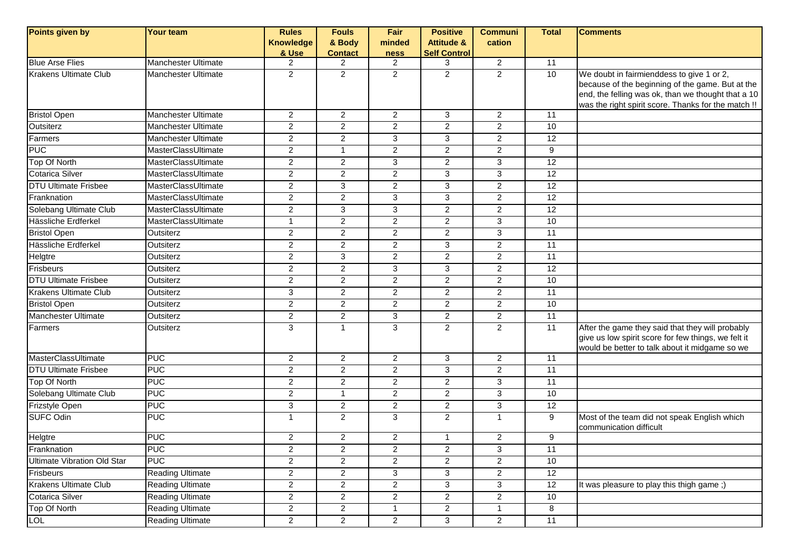| Points given by                    | <b>Your team</b>           | <b>Rules</b>     | <b>Fouls</b>   | Fair                    | <b>Positive</b>       | <b>Communi</b>            | <b>Total</b>    | <b>Comments</b>                                                                                         |
|------------------------------------|----------------------------|------------------|----------------|-------------------------|-----------------------|---------------------------|-----------------|---------------------------------------------------------------------------------------------------------|
|                                    |                            | <b>Knowledge</b> | & Body         | minded                  | <b>Attitude &amp;</b> | cation                    |                 |                                                                                                         |
|                                    |                            | & Use            | <b>Contact</b> | <b>ness</b>             | <b>Self Control</b>   |                           |                 |                                                                                                         |
| <b>Blue Arse Flies</b>             | Manchester Ultimate        | $\overline{2}$   | 2              | $\overline{2}$          | 3                     | $\overline{2}$            | 11              |                                                                                                         |
| <b>Krakens Ultimate Club</b>       | <b>Manchester Ultimate</b> | $\overline{2}$   | $\overline{2}$ | $\overline{2}$          | $\overline{2}$        | $\overline{2}$            | 10              | We doubt in fairmienddess to give 1 or 2,                                                               |
|                                    |                            |                  |                |                         |                       |                           |                 | because of the beginning of the game. But at the<br>end, the felling was ok, than we thought that a 10  |
|                                    |                            |                  |                |                         |                       |                           |                 | was the right spirit score. Thanks for the match !!                                                     |
| <b>Bristol Open</b>                | <b>Manchester Ultimate</b> | $\overline{2}$   | $\overline{2}$ | $\overline{2}$          | 3                     | $\overline{2}$            | 11              |                                                                                                         |
| Outsiterz                          | <b>Manchester Ultimate</b> | $\overline{2}$   | $\overline{2}$ | 2                       | 2                     | $\overline{2}$            | 10              |                                                                                                         |
| Farmers                            | <b>Manchester Ultimate</b> | $\overline{2}$   | $\overline{2}$ | 3                       | 3                     | $\overline{2}$            | 12              |                                                                                                         |
| <b>PUC</b>                         | MasterClassUltimate        | $\overline{2}$   | $\mathbf{1}$   | $\overline{2}$          | $\overline{2}$        | $\overline{2}$            | 9               |                                                                                                         |
| Top Of North                       | MasterClassUltimate        | 2                | $\overline{2}$ | 3                       | $\overline{2}$        | 3                         | 12              |                                                                                                         |
| Cotarica Silver                    | MasterClassUltimate        | $\overline{c}$   | $\overline{a}$ | $\sqrt{2}$              | 3                     | $\mathbf{3}$              | 12              |                                                                                                         |
| <b>DTU Ultimate Frisbee</b>        | MasterClassUltimate        | $\overline{c}$   | 3              | $\overline{2}$          | 3                     | $\overline{2}$            | $\overline{12}$ |                                                                                                         |
| Franknation                        | MasterClassUltimate        | $\overline{2}$   | $\overline{2}$ | $\overline{3}$          | 3                     | $\overline{2}$            | $\overline{12}$ |                                                                                                         |
| Solebang Ultimate Club             | MasterClassUltimate        | $\overline{c}$   | 3              | 3                       | $\overline{2}$        | $\overline{2}$            | 12              |                                                                                                         |
| Hässliche Erdferkel                | MasterClassUltimate        | $\mathbf 1$      | $\overline{2}$ | $\overline{c}$          | $\overline{2}$        | 3                         | 10              |                                                                                                         |
| <b>Bristol Open</b>                | Outsiterz                  | $\overline{2}$   | $\overline{a}$ | $\overline{2}$          | $\overline{2}$        | 3                         | 11              |                                                                                                         |
| Hässliche Erdferkel                | Outsiterz                  | $\overline{2}$   | $\overline{2}$ | $\overline{2}$          | 3                     | $\overline{2}$            | 11              |                                                                                                         |
| <b>Helgtre</b>                     | Outsiterz                  | $\overline{c}$   | $\overline{3}$ | $\overline{2}$          | $\overline{c}$        | $\overline{2}$            | $\overline{11}$ |                                                                                                         |
| Frisbeurs                          | Outsiterz                  | 2                | $\overline{2}$ | 3                       | 3                     | $\overline{c}$            | 12              |                                                                                                         |
| <b>DTU Ultimate Frisbee</b>        | Outsiterz                  | $\overline{c}$   | $\overline{2}$ | $\overline{2}$          | $\overline{c}$        | $\overline{c}$            | 10              |                                                                                                         |
| <b>Krakens Ultimate Club</b>       | Outsiterz                  | 3                | $\overline{a}$ | $\overline{2}$          | $\overline{2}$        | $\overline{2}$            | 11              |                                                                                                         |
| <b>Bristol Open</b>                | Outsiterz                  | $\overline{2}$   | $\overline{2}$ | 2                       | $\overline{2}$        | $\overline{2}$            | 10              |                                                                                                         |
| <b>Manchester Ultimate</b>         | Outsiterz                  | $\overline{2}$   | $\overline{2}$ | 3                       | 2                     | $\overline{2}$            | $\overline{11}$ |                                                                                                         |
| Farmers                            | Outsiterz                  | 3                | $\mathbf{1}$   | 3                       | $\overline{2}$        | $\overline{2}$            | 11              | After the game they said that they will probably<br>give us low spirit score for few things, we felt it |
|                                    |                            |                  |                |                         |                       |                           |                 | would be better to talk about it midgame so we                                                          |
| MasterClassUltimate                | PUC                        | $\overline{2}$   | $\overline{2}$ | $\overline{2}$          | 3                     | $\overline{2}$            | 11              |                                                                                                         |
| <b>DTU Ultimate Frisbee</b>        | PUC                        | $\overline{c}$   | $\overline{2}$ | $\overline{c}$          | 3                     | $\overline{c}$            | 11              |                                                                                                         |
| Top Of North                       | PUC                        | 2                | $\overline{2}$ | $\overline{2}$          | $\overline{c}$        | 3                         | 11              |                                                                                                         |
| Solebang Ultimate Club             | <b>PUC</b>                 | $\overline{2}$   | $\mathbf{1}$   | $\overline{2}$          | $\overline{2}$        | 3                         | 10              |                                                                                                         |
| Frizstyle Open                     | <b>PUC</b>                 | 3                | $\overline{2}$ | $\sqrt{2}$              | $\overline{2}$        | 3                         | 12              |                                                                                                         |
| <b>SUFC Odin</b>                   | <b>PUC</b>                 | $\mathbf{1}$     | $\overline{2}$ | ن                       | $\overline{2}$        | $\mathbf{1}$              | $\overline{9}$  | Most of the team did not speak English which<br>communication difficult                                 |
| Helgtre                            | <b>PUC</b>                 | $\overline{c}$   | $\overline{2}$ | $\overline{c}$          | $\overline{1}$        | $\overline{a}$            | 9               |                                                                                                         |
| Franknation                        | <b>PUC</b>                 | $\overline{c}$   | $\overline{a}$ | $\overline{\mathbf{c}}$ | $\overline{c}$        | $\ensuremath{\mathsf{3}}$ | $\overline{11}$ |                                                                                                         |
| <b>Ultimate Vibration Old Star</b> | <b>PUC</b>                 | $\overline{c}$   | $\overline{a}$ | $\overline{2}$          | $\overline{2}$        | $\overline{a}$            | 10              |                                                                                                         |
| Frisbeurs                          | <b>Reading Ultimate</b>    | $\overline{2}$   | $\overline{2}$ | 3                       | 3                     | $\overline{a}$            | 12              |                                                                                                         |
| Krakens Ultimate Club              | <b>Reading Ultimate</b>    | $\overline{2}$   | $\overline{2}$ | $\overline{2}$          | 3                     | $\overline{3}$            | 12              | It was pleasure to play this thigh game;)                                                               |
| Cotarica Silver                    | <b>Reading Ultimate</b>    | $\overline{c}$   | $\overline{2}$ | $\overline{c}$          | $\overline{a}$        | $\mathbf{2}^{\prime}$     | 10              |                                                                                                         |
| Top Of North                       | <b>Reading Ultimate</b>    | $\overline{2}$   | $\overline{2}$ | $\mathbf{1}$            | $\overline{2}$        | $\mathbf{1}$              | 8               |                                                                                                         |
| <b>LOL</b>                         | <b>Reading Ultimate</b>    | $\overline{a}$   | $\overline{2}$ | $\overline{2}$          | 3                     | $\overline{2}$            | 11              |                                                                                                         |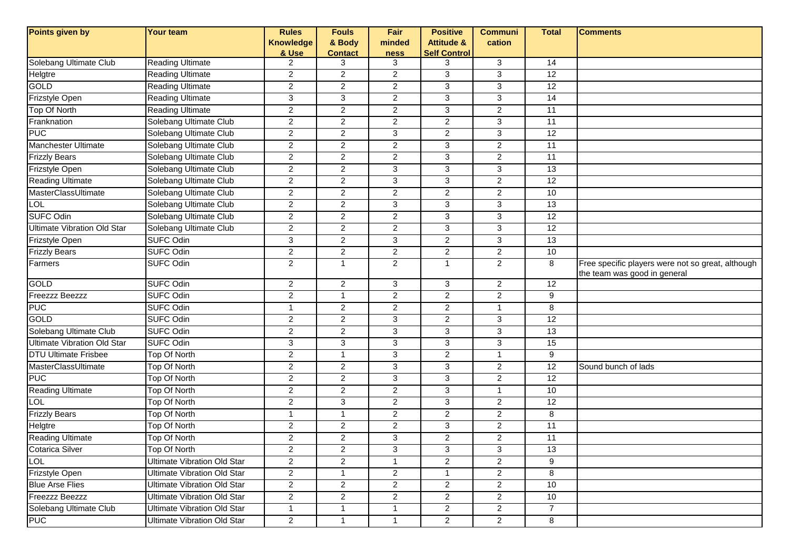| Points given by                    | <b>Your team</b>                   | <b>Rules</b>     | <b>Fouls</b>   | Fair                      | <b>Positive</b>       | <b>Communi</b> | <b>Total</b>    | <b>Comments</b>                                                                   |
|------------------------------------|------------------------------------|------------------|----------------|---------------------------|-----------------------|----------------|-----------------|-----------------------------------------------------------------------------------|
|                                    |                                    | <b>Knowledge</b> | & Body         | minded                    | <b>Attitude &amp;</b> | cation         |                 |                                                                                   |
|                                    |                                    | & Use            | <b>Contact</b> | ness                      | <b>Self Control</b>   |                |                 |                                                                                   |
| Solebang Ultimate Club             | <b>Reading Ultimate</b>            | $\overline{2}$   | 3              | 3                         | 3                     | 3              | 14              |                                                                                   |
| Helgtre                            | <b>Reading Ultimate</b>            | $\overline{2}$   | $\overline{c}$ | $\overline{2}$            | 3                     | 3              | 12              |                                                                                   |
| <b>GOLD</b>                        | <b>Reading Ultimate</b>            | $\overline{2}$   | $\overline{2}$ | $\overline{2}$            | 3                     | $\overline{3}$ | 12              |                                                                                   |
| Frizstyle Open                     | <b>Reading Ultimate</b>            | 3                | $\mathbf{3}$   | $\boldsymbol{2}$          | 3                     | 3              | 14              |                                                                                   |
| Top Of North                       | <b>Reading Ultimate</b>            | $\overline{c}$   | $\overline{2}$ | $\boldsymbol{2}$          | 3                     | $\overline{2}$ | 11              |                                                                                   |
| Franknation                        | Solebang Ultimate Club             | $\overline{c}$   | $\overline{c}$ | $\overline{2}$            | $\overline{2}$        | 3              | 11              |                                                                                   |
| <b>PUC</b>                         | Solebang Ultimate Club             | $\overline{c}$   | $\overline{c}$ | $\mathfrak{S}$            | $\overline{c}$        | 3              | 12              |                                                                                   |
| Manchester Ultimate                | Solebang Ultimate Club             | $\overline{2}$   | $\overline{2}$ | $\overline{2}$            | 3                     | $\overline{2}$ | $\overline{11}$ |                                                                                   |
| <b>Frizzly Bears</b>               | Solebang Ultimate Club             | $\overline{2}$   | $\overline{c}$ | $\overline{2}$            | 3                     | $\overline{2}$ | 11              |                                                                                   |
| Frizstyle Open                     | Solebang Ultimate Club             | $\overline{2}$   | $\overline{c}$ | 3                         | 3                     | 3              | 13              |                                                                                   |
| <b>Reading Ultimate</b>            | Solebang Ultimate Club             | $\overline{2}$   | $\overline{c}$ | 3                         | 3                     | $\overline{2}$ | $\overline{12}$ |                                                                                   |
| MasterClassUltimate                | Solebang Ultimate Club             | $\overline{2}$   | $\overline{c}$ | 2                         | $\overline{2}$        | $\overline{2}$ | 10              |                                                                                   |
| <b>LOL</b>                         | Solebang Ultimate Club             | $\overline{2}$   | $\overline{2}$ | $\overline{3}$            | 3                     | $\overline{3}$ | 13              |                                                                                   |
| <b>SUFC Odin</b>                   | Solebang Ultimate Club             | $\overline{c}$   | $\overline{c}$ | $\boldsymbol{2}$          | 3                     | 3              | $\overline{12}$ |                                                                                   |
| <b>Ultimate Vibration Old Star</b> | Solebang Ultimate Club             | $\overline{2}$   | $\overline{2}$ | 2                         | 3                     | 3              | 12              |                                                                                   |
| Frizstyle Open                     | <b>SUFC Odin</b>                   | 3                | $\overline{2}$ | 3                         | $\overline{c}$        | 3              | $\overline{13}$ |                                                                                   |
| <b>Frizzly Bears</b>               | <b>SUFC Odin</b>                   | $\overline{c}$   | $\overline{c}$ | $\boldsymbol{2}$          | $\overline{c}$        | $\overline{c}$ | 10              |                                                                                   |
| Farmers                            | <b>SUFC Odin</b>                   | $\overline{2}$   | $\mathbf{1}$   | $\overline{2}$            | $\overline{1}$        | $\overline{2}$ | 8               | Free specific players were not so great, although<br>the team was good in general |
| GOLD                               | <b>SUFC Odin</b>                   | $\overline{2}$   | $\overline{c}$ | 3                         | 3                     | $\overline{2}$ | 12              |                                                                                   |
| Freezzz Beezzz                     | <b>SUFC Odin</b>                   | $\overline{c}$   | $\mathbf{1}$   | $\boldsymbol{2}$          | $\overline{2}$        | $\overline{c}$ | 9               |                                                                                   |
| <b>PUC</b>                         | <b>SUFC Odin</b>                   | 1                | $\overline{c}$ | 2                         | $\overline{c}$        | $\mathbf 1$    | 8               |                                                                                   |
| GOLD                               | <b>SUFC Odin</b>                   | $\overline{2}$   | $\overline{c}$ | $\mathfrak{S}$            | $\overline{c}$        | $\mathbf{3}$   | 12              |                                                                                   |
| Solebang Ultimate Club             | <b>SUFC Odin</b>                   | $\overline{2}$   | $\overline{2}$ | $\overline{3}$            | 3                     | $\overline{3}$ | 13              |                                                                                   |
| <b>Ultimate Vibration Old Star</b> | <b>SUFC Odin</b>                   | 3                | $\mathbf{3}$   | 3                         | 3                     | $\mathbf{3}$   | 15              |                                                                                   |
| <b>DTU Ultimate Frisbee</b>        | Top Of North                       | $\overline{2}$   | $\mathbf{1}$   | 3                         | $\overline{2}$        | $\mathbf{1}$   | 9               |                                                                                   |
| MasterClassUltimate                | Top Of North                       | $\overline{c}$   | $\overline{c}$ | $\ensuremath{\mathsf{3}}$ | 3                     | $\overline{2}$ | $\overline{12}$ | Sound bunch of lads                                                               |
| <b>PUC</b>                         | Top Of North                       | $\overline{c}$   | $\overline{c}$ | $\mathfrak{S}$            | 3                     | $\overline{a}$ | 12              |                                                                                   |
| <b>Reading Ultimate</b>            | Top Of North                       | $\overline{2}$   | $\overline{2}$ | $\overline{2}$            | $\overline{3}$        | $\mathbf{1}$   | 10              |                                                                                   |
| <b>LOL</b>                         | <b>Top Of North</b>                | $\overline{2}$   | 3              | 2                         | 3                     | $\overline{2}$ | $\overline{12}$ |                                                                                   |
| <b>Frizzly Bears</b>               | Top Of North                       | 1                | $\mathbf{1}$   | $\boldsymbol{2}$          | $\overline{2}$        | $\overline{c}$ | 8               |                                                                                   |
| Helgtre                            | <b>Top Of North</b>                | $\overline{c}$   | $\overline{c}$ | $\boldsymbol{2}$          | 3                     | $\overline{a}$ | $\overline{11}$ |                                                                                   |
| <b>Reading Ultimate</b>            | Top Of North                       | $\overline{c}$   | $\overline{2}$ | $\mathfrak{S}$            | $\overline{a}$        | $\overline{a}$ | 11              |                                                                                   |
| Cotarica Silver                    | Top Of North                       | 2                | 2              | 3                         | 3                     | 3              | 13              |                                                                                   |
| <b>TOL</b>                         | <b>Ultimate Vibration Old Star</b> | $\overline{2}$   | $\overline{2}$ | $\mathbf{1}$              | $\overline{2}$        | $\overline{2}$ | 9               |                                                                                   |
| Frizstyle Open                     | <b>Ultimate Vibration Old Star</b> | $\overline{2}$   | $\mathbf{1}$   | $\overline{2}$            | $\mathbf{1}$          | $\overline{2}$ | 8               |                                                                                   |
| <b>Blue Arse Flies</b>             | <b>Ultimate Vibration Old Star</b> | $\overline{2}$   | $\overline{2}$ | $\mathbf{2}$              | $\overline{2}$        | $\overline{2}$ | 10              |                                                                                   |
| <b>Freezzz Beezzz</b>              | <b>Ultimate Vibration Old Star</b> | $\overline{2}$   | $\overline{2}$ | $\overline{2}$            | $\overline{2}$        | $\overline{2}$ | 10              |                                                                                   |
| Solebang Ultimate Club             | <b>Ultimate Vibration Old Star</b> | $\mathbf{1}$     | $\mathbf{1}$   | $\mathbf{1}$              | $\overline{2}$        | $\overline{2}$ | $\overline{7}$  |                                                                                   |
| <b>PUC</b>                         | <b>Ultimate Vibration Old Star</b> | $\overline{2}$   | $\mathbf{1}$   | $\mathbf{1}$              | $\overline{2}$        | $\overline{2}$ | 8               |                                                                                   |
|                                    |                                    |                  |                |                           |                       |                |                 |                                                                                   |